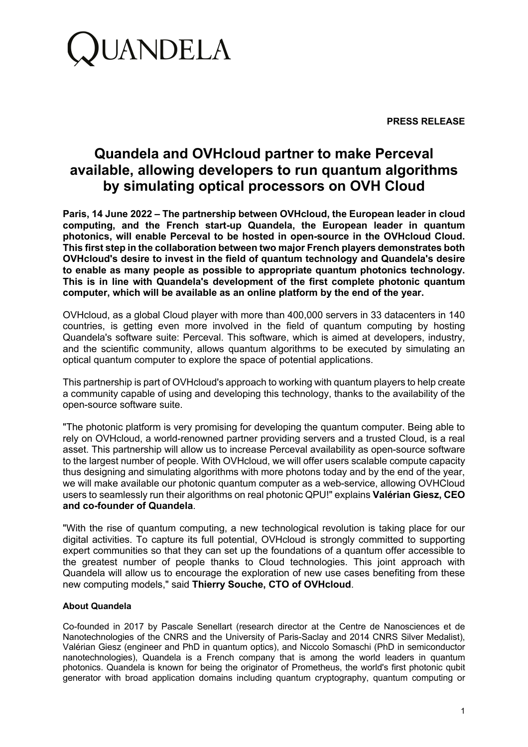

**PRESS RELEASE**

## **Quandela and OVHcloud partner to make Perceval available, allowing developers to run quantum algorithms by simulating optical processors on OVH Cloud**

**Paris, 14 June 2022 – The partnership between OVHcloud, the European leader in cloud computing, and the French start-up Quandela, the European leader in quantum photonics, will enable Perceval to be hosted in open-source in the OVHcloud Cloud. This first step in the collaboration between two major French players demonstrates both OVHcloud's desire to invest in the field of quantum technology and Quandela's desire to enable as many people as possible to appropriate quantum photonics technology. This is in line with Quandela's development of the first complete photonic quantum computer, which will be available as an online platform by the end of the year.**

OVHcloud, as a global Cloud player with more than 400,000 servers in 33 datacenters in 140 countries, is getting even more involved in the field of quantum computing by hosting Quandela's software suite: Perceval. This software, which is aimed at developers, industry, and the scientific community, allows quantum algorithms to be executed by simulating an optical quantum computer to explore the space of potential applications.

This partnership is part of OVHcloud's approach to working with quantum players to help create a community capable of using and developing this technology, thanks to the availability of the open-source software suite.

"The photonic platform is very promising for developing the quantum computer. Being able to rely on OVHcloud, a world-renowned partner providing servers and a trusted Cloud, is a real asset. This partnership will allow us to increase Perceval availability as open-source software to the largest number of people. With OVHcloud, we will offer users scalable compute capacity thus designing and simulating algorithms with more photons today and by the end of the year, we will make available our photonic quantum computer as a web-service, allowing OVHCloud users to seamlessly run their algorithms on real photonic QPU!" explains **Valérian Giesz, CEO and co-founder of Quandela**.

"With the rise of quantum computing, a new technological revolution is taking place for our digital activities. To capture its full potential, OVHcloud is strongly committed to supporting expert communities so that they can set up the foundations of a quantum offer accessible to the greatest number of people thanks to Cloud technologies. This joint approach with Quandela will allow us to encourage the exploration of new use cases benefiting from these new computing models," said **Thierry Souche, CTO of OVHcloud**.

## **About Quandela**

Co-founded in 2017 by Pascale Senellart (research director at the Centre de Nanosciences et de Nanotechnologies of the CNRS and the University of Paris-Saclay and 2014 CNRS Silver Medalist), Valérian Giesz (engineer and PhD in quantum optics), and Niccolo Somaschi (PhD in semiconductor nanotechnologies), Quandela is a French company that is among the world leaders in quantum photonics. Quandela is known for being the originator of Prometheus, the world's first photonic qubit generator with broad application domains including quantum cryptography, quantum computing or